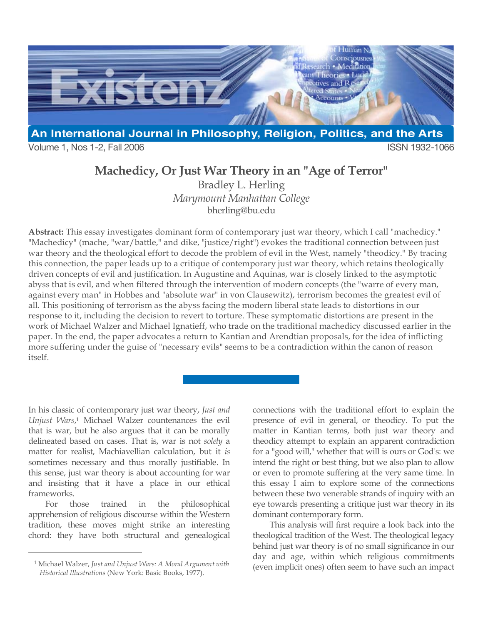

Volume 1, Nos 1-2, Fall 2006 **ISSN 1932-1066** 

## **Machedicy, Or Just War Theory in an "Age of Terror"**

Bradley L. Herling *Marymount Manhattan College* bherling@bu.edu

**Abstract:** This essay investigates dominant form of contemporary just war theory, which I call "machedicy." "Machedicy" (mache, "war/battle," and dike, "justice/right") evokes the traditional connection between just war theory and the theological effort to decode the problem of evil in the West, namely "theodicy." By tracing this connection, the paper leads up to a critique of contemporary just war theory, which retains theologically driven concepts of evil and justification. In Augustine and Aquinas, war is closely linked to the asymptotic abyss that is evil, and when filtered through the intervention of modern concepts (the "warre of every man, against every man" in Hobbes and "absolute war" in von Clausewitz), terrorism becomes the greatest evil of all. This positioning of terrorism as the abyss facing the modern liberal state leads to distortions in our response to it, including the decision to revert to torture. These symptomatic distortions are present in the work of Michael Walzer and Michael Ignatieff, who trade on the traditional machedicy discussed earlier in the paper. In the end, the paper advocates a return to Kantian and Arendtian proposals, for the idea of inflicting more suffering under the guise of "necessary evils" seems to be a contradiction within the canon of reason itself.

In his classic of contemporary just war theory, *Just and Unjust Wars*,1 Michael Walzer countenances the evil that is war, but he also argues that it can be morally delineated based on cases. That is, war is not *solely* a matter for realist, Machiavellian calculation, but it *is* sometimes necessary and thus morally justifiable. In this sense, just war theory is about accounting for war and insisting that it have a place in our ethical frameworks.

For those trained in the philosophical apprehension of religious discourse within the Western tradition, these moves might strike an interesting chord: they have both structural and genealogical

 $\overline{a}$ 

connections with the traditional effort to explain the presence of evil in general, or theodicy. To put the matter in Kantian terms, both just war theory and theodicy attempt to explain an apparent contradiction for a "good will," whether that will is ours or God's: we intend the right or best thing, but we also plan to allow or even to promote suffering at the very same time. In this essay I aim to explore some of the connections between these two venerable strands of inquiry with an eye towards presenting a critique just war theory in its dominant contemporary form.

This analysis will first require a look back into the theological tradition of the West. The theological legacy behind just war theory is of no small significance in our day and age, within which religious commitments (even implicit ones) often seem to have such an impact

<sup>1</sup> Michael Walzer, *Just and Unjust Wars: A Moral Argument with Historical Illustrations* (New York: Basic Books, 1977).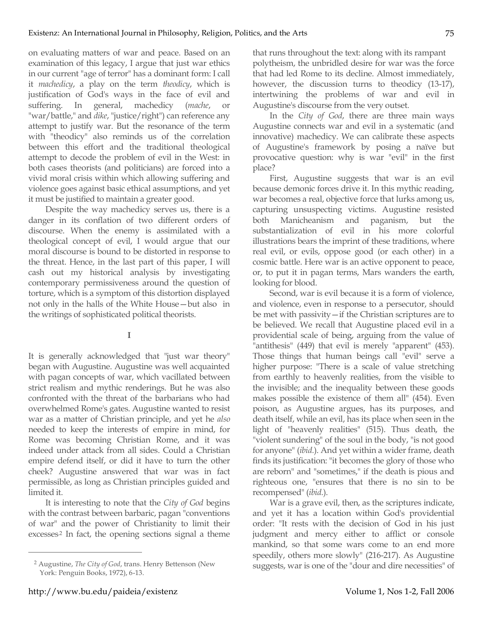on evaluating matters of war and peace. Based on an examination of this legacy, I argue that just war ethics in our current "age of terror" has a dominant form: I call it *machedicy*, a play on the term *theodicy*, which is justification of God's ways in the face of evil and suffering. In general, machedicy (*mache*, or "war/battle," and *dike*, "justice/right") can reference any attempt to justify war. But the resonance of the term with "theodicy" also reminds us of the correlation between this effort and the traditional theological attempt to decode the problem of evil in the West: in both cases theorists (and politicians) are forced into a vivid moral crisis within which allowing suffering and violence goes against basic ethical assumptions, and yet it must be justified to maintain a greater good.

Despite the way machedicy serves us, there is a danger in its conflation of two different orders of discourse. When the enemy is assimilated with a theological concept of evil, I would argue that our moral discourse is bound to be distorted in response to the threat. Hence, in the last part of this paper, I will cash out my historical analysis by investigating contemporary permissiveness around the question of torture, which is a symptom of this distortion displayed not only in the halls of the White House—but also in the writings of sophisticated political theorists.

**I**

It is generally acknowledged that "just war theory" began with Augustine. Augustine was well acquainted with pagan concepts of war, which vacillated between strict realism and mythic renderings. But he was also confronted with the threat of the barbarians who had overwhelmed Rome's gates. Augustine wanted to resist war as a matter of Christian principle, and yet he *also* needed to keep the interests of empire in mind, for Rome was becoming Christian Rome, and it was indeed under attack from all sides. Could a Christian empire defend itself, or did it have to turn the other cheek? Augustine answered that war was in fact permissible, as long as Christian principles guided and limited it.

It is interesting to note that the *City of God* begins with the contrast between barbaric, pagan "conventions of war" and the power of Christianity to limit their excesses<sup>2</sup> In fact, the opening sections signal a theme

that runs throughout the text: along with its rampant polytheism, the unbridled desire for war was the force that had led Rome to its decline. Almost immediately, however, the discussion turns to theodicy  $(13-17)$ , intertwining the problems of war and evil in Augustine's discourse from the very outset.

In the *City of God*, there are three main ways Augustine connects war and evil in a systematic (and innovative) machedicy. We can calibrate these aspects of Augustine's framework by posing a naïve but provocative question: why is war "evil" in the first place?

First, Augustine suggests that war is an evil because demonic forces drive it. In this mythic reading, war becomes a real, objective force that lurks among us, capturing unsuspecting victims. Augustine resisted both Manicheanism and paganism, but the substantialization of evil in his more colorful illustrations bears the imprint of these traditions, where real evil, or evils, oppose good (or each other) in a cosmic battle. Here war is an active opponent to peace, or, to put it in pagan terms, Mars wanders the earth, looking for blood.

Second, war is evil because it is a form of violence, and violence, even in response to a persecutor, should be met with passivity—if the Christian scriptures are to be believed. We recall that Augustine placed evil in a providential scale of being, arguing from the value of "antithesis" (449) that evil is merely "apparent" (453). Those things that human beings call "evil" serve a higher purpose: "There is a scale of value stretching from earthly to heavenly realities, from the visible to the invisible; and the inequality between these goods makes possible the existence of them all" (454). Even poison, as Augustine argues, has its purposes, and death itself, while an evil, has its place when seen in the light of "heavenly realities" (515). Thus death, the "violent sundering" of the soul in the body, "is not good for anyone" (*ibid.*). And yet within a wider frame, death finds its justification: "it becomes the glory of those who are reborn" and "sometimes," if the death is pious and righteous one, "ensures that there is no sin to be recompensed" (*ibid.*).

War is a grave evil, then, as the scriptures indicate, and yet it has a location within God's providential order: "It rests with the decision of God in his just judgment and mercy either to afflict or console mankind, so that some wars come to an end more speedily, others more slowly" (216-217). As Augustine suggests, war is one of the "dour and dire necessities" of

<sup>2</sup> Augustine, *The City of God*, trans. Henry Bettenson (New York: Penguin Books, 1972), 6-13.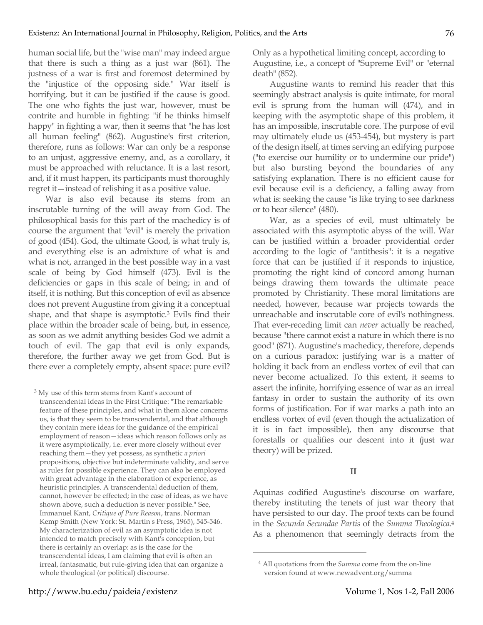human social life, but the "wise man" may indeed argue that there is such a thing as a just war (861). The justness of a war is first and foremost determined by the "injustice of the opposing side." War itself is horrifying, but it can be justified if the cause is good. The one who fights the just war, however, must be contrite and humble in fighting: "if he thinks himself happy" in fighting a war, then it seems that "he has lost all human feeling" (862). Augustine's first criterion, therefore, runs as follows: War can only be a response to an unjust, aggressive enemy, and, as a corollary, it must be approached with reluctance. It is a last resort, and, if it must happen, its participants must thoroughly regret it—instead of relishing it as a positive value.

War is also evil because its stems from an inscrutable turning of the will away from God. The philosophical basis for this part of the machedicy is of course the argument that "evil" is merely the privation of good (454). God, the ultimate Good, is what truly is, and everything else is an admixture of what is and what is not, arranged in the best possible way in a vast scale of being by God himself (473). Evil is the deficiencies or gaps in this scale of being; in and of itself, it is nothing. But this conception of evil as absence does not prevent Augustine from giving it a conceptual shape, and that shape is asymptotic.3 Evils find their place within the broader scale of being, but, in essence, as soon as we admit anything besides God we admit a touch of evil. The gap that evil is only expands, therefore, the further away we get from God. But is there ever a completely empty, absent space: pure evil?

Only as a hypothetical limiting concept, according to Augustine, i.e., a concept of "Supreme Evil" or "eternal death" (852).

Augustine wants to remind his reader that this seemingly abstract analysis is quite intimate, for moral evil is sprung from the human will (474), and in keeping with the asymptotic shape of this problem, it has an impossible, inscrutable core. The purpose of evil may ultimately elude us (453-454), but mystery is part of the design itself, at times serving an edifying purpose ("to exercise our humility or to undermine our pride") but also bursting beyond the boundaries of any satisfying explanation. There is no efficient cause for evil because evil is a deficiency, a falling away from what is: seeking the cause "is like trying to see darkness or to hear silence" (480).

War, as a species of evil, must ultimately be associated with this asymptotic abyss of the will. War can be justified within a broader providential order according to the logic of "antithesis": it is a negative force that can be justified if it responds to injustice, promoting the right kind of concord among human beings drawing them towards the ultimate peace promoted by Christianity. These moral limitations are needed, however, because war projects towards the unreachable and inscrutable core of evil's nothingness. That ever-receding limit can *never* actually be reached, because "there cannot exist a nature in which there is no good" (871). Augustine's machedicy, therefore, depends on a curious paradox: justifying war is a matter of holding it back from an endless vortex of evil that can never become actualized. To this extent, it seems to assert the infinite, horrifying essence of war as an irreal fantasy in order to sustain the authority of its own forms of justification. For if war marks a path into an endless vortex of evil (even though the actualization of it is in fact impossible), then any discourse that forestalls or qualifies our descent into it (just war theory) will be prized.

## **II**

Aquinas codified Augustine's discourse on warfare, thereby instituting the tenets of just war theory that have persisted to our day. The proof texts can be found in the *Secunda Secundae Partis* of the *Summa Theologica*.4 As a phenomenon that seemingly detracts from the

 $\overline{a}$ 

<sup>3</sup> My use of this term stems from Kant's account of transcendental ideas in the First Critique: "The remarkable feature of these principles, and what in them alone concerns us, is that they seem to be transcendental, and that although they contain mere ideas for the guidance of the empirical employment of reason—ideas which reason follows only as it were asymptotically, i.e. ever more closely without ever reaching them—they yet possess, as synthetic *a priori* propositions, objective but indeterminate validity, and serve as rules for possible experience. They can also be employed with great advantage in the elaboration of experience, as heuristic principles. A transcendental deduction of them, cannot, however be effected; in the case of ideas, as we have shown above, such a deduction is never possible." See, Immanuel Kant, *Critique of Pure Reason*, trans. Norman Kemp Smith (New York: St. Martin's Press, 1965), 545-546. My characterization of evil as an asymptotic idea is not intended to match precisely with Kant's conception, but there is certainly an overlap: as is the case for the transcendental ideas, I am claiming that evil is often an irreal, fantasmatic, but rule-giving idea that can organize a whole theological (or political) discourse.

<sup>4</sup> All quotations from the *Summa* come from the on-line version found at www.newadvent.org/summa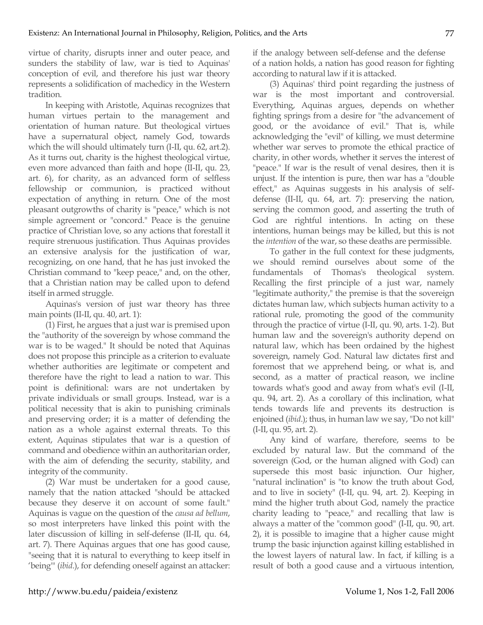virtue of charity, disrupts inner and outer peace, and sunders the stability of law, war is tied to Aquinas' conception of evil, and therefore his just war theory represents a solidification of machedicy in the Western tradition.

In keeping with Aristotle, Aquinas recognizes that human virtues pertain to the management and orientation of human nature. But theological virtues have a supernatural object, namely God, towards which the will should ultimately turn (I-II, qu. 62, art.2). As it turns out, charity is the highest theological virtue, even more advanced than faith and hope (II-II, qu. 23, art. 6), for charity, as an advanced form of selfless fellowship or communion, is practiced without expectation of anything in return. One of the most pleasant outgrowths of charity is "peace," which is not simple agreement or "concord." Peace is the genuine practice of Christian love, so any actions that forestall it require strenuous justification. Thus Aquinas provides an extensive analysis for the justification of war, recognizing, on one hand, that he has just invoked the Christian command to "keep peace," and, on the other, that a Christian nation may be called upon to defend itself in armed struggle.

Aquinas's version of just war theory has three main points (II-II, qu. 40, art. 1):

(1) First, he argues that a just war is premised upon the "authority of the sovereign by whose command the war is to be waged." It should be noted that Aquinas does not propose this principle as a criterion to evaluate whether authorities are legitimate or competent and therefore have the right to lead a nation to war. This point is definitional: wars are not undertaken by private individuals or small groups. Instead, war is a political necessity that is akin to punishing criminals and preserving order; it is a matter of defending the nation as a whole against external threats. To this extent, Aquinas stipulates that war is a question of command and obedience within an authoritarian order, with the aim of defending the security, stability, and integrity of the community.

(2) War must be undertaken for a good cause, namely that the nation attacked "should be attacked because they deserve it on account of some fault." Aquinas is vague on the question of the *causa ad bellum*, so most interpreters have linked this point with the later discussion of killing in self-defense (II-II, qu. 64, art. 7). There Aquinas argues that one has good cause, "seeing that it is natural to everything to keep itself in 'being'" (*ibid*.), for defending oneself against an attacker: if the analogy between self-defense and the defense of a nation holds, a nation has good reason for fighting according to natural law if it is attacked.

(3) Aquinas' third point regarding the justness of war is the most important and controversial. Everything, Aquinas argues, depends on whether fighting springs from a desire for "the advancement of good, or the avoidance of evil." That is, while acknowledging the "evil" of killing, we must determine whether war serves to promote the ethical practice of charity, in other words, whether it serves the interest of "peace." If war is the result of venal desires, then it is unjust. If the intention is pure, then war has a "double effect," as Aquinas suggests in his analysis of selfdefense (II-II, qu. 64, art. 7): preserving the nation, serving the common good, and asserting the truth of God are rightful intentions. In acting on these intentions, human beings may be killed, but this is not the *intention* of the war, so these deaths are permissible.

To gather in the full context for these judgments, we should remind ourselves about some of the fundamentals of Thomas's theological system. Recalling the first principle of a just war, namely "legitimate authority," the premise is that the sovereign dictates human law, which subjects human activity to a rational rule, promoting the good of the community through the practice of virtue (I-II, qu. 90, arts. 1-2). But human law and the sovereign's authority depend on natural law, which has been ordained by the highest sovereign, namely God. Natural law dictates first and foremost that we apprehend being, or what is, and second, as a matter of practical reason, we incline towards what's good and away from what's evil (I-II, qu. 94, art. 2). As a corollary of this inclination, what tends towards life and prevents its destruction is enjoined (*ibid*.); thus, in human law we say, "Do not kill" (I-II, qu. 95, art. 2).

Any kind of warfare, therefore, seems to be excluded by natural law. But the command of the sovereign (God, or the human aligned with God) can supersede this most basic injunction. Our higher, "natural inclination" is "to know the truth about God, and to live in society" (I-II, qu. 94, art. 2). Keeping in mind the higher truth about God, namely the practice charity leading to "peace," and recalling that law is always a matter of the "common good" (I-II, qu. 90, art. 2), it is possible to imagine that a higher cause might trump the basic injunction against killing established in the lowest layers of natural law. In fact, if killing is a result of both a good cause and a virtuous intention,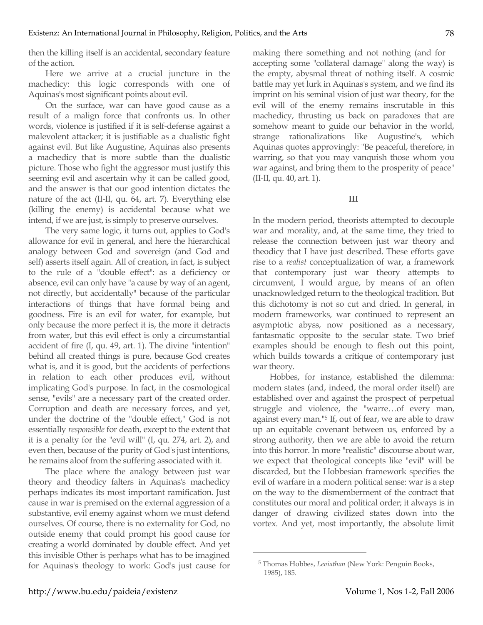then the killing itself is an accidental, secondary feature of the action.

Here we arrive at a crucial juncture in the machedicy: this logic corresponds with one of Aquinas's most significant points about evil.

On the surface, war can have good cause as a result of a malign force that confronts us. In other words, violence is justified if it is self-defense against a malevolent attacker; it is justifiable as a dualistic fight against evil. But like Augustine, Aquinas also presents a machedicy that is more subtle than the dualistic picture. Those who fight the aggressor must justify this seeming evil and ascertain why it can be called good, and the answer is that our good intention dictates the nature of the act (II-II, qu. 64, art. 7). Everything else (killing the enemy) is accidental because what we intend, if we are just, is simply to preserve ourselves.

The very same logic, it turns out, applies to God's allowance for evil in general, and here the hierarchical analogy between God and sovereign (and God and self) asserts itself again. All of creation, in fact, is subject to the rule of a "double effect": as a deficiency or absence, evil can only have "a cause by way of an agent, not directly, but accidentally" because of the particular interactions of things that have formal being and goodness. Fire is an evil for water, for example, but only because the more perfect it is, the more it detracts from water, but this evil effect is only a circumstantial accident of fire (I, qu. 49, art. 1). The divine "intention" behind all created things is pure, because God creates what is, and it is good, but the accidents of perfections in relation to each other produces evil, without implicating God's purpose. In fact, in the cosmological sense, "evils" are a necessary part of the created order. Corruption and death are necessary forces, and yet, under the doctrine of the "double effect," God is not essentially *responsible* for death, except to the extent that it is a penalty for the "evil will" (I, qu. 274, art. 2), and even then, because of the purity of God's just intentions, he remains aloof from the suffering associated with it.

The place where the analogy between just war theory and theodicy falters in Aquinas's machedicy perhaps indicates its most important ramification. Just cause in war is premised on the external aggression of a substantive, evil enemy against whom we must defend ourselves. Of course, there is no externality for God, no outside enemy that could prompt his good cause for creating a world dominated by double effect. And yet this invisible Other is perhaps what has to be imagined for Aquinas's theology to work: God's just cause for making there something and not nothing (and for accepting some "collateral damage" along the way) is the empty, abysmal threat of nothing itself. A cosmic battle may yet lurk in Aquinas's system, and we find its imprint on his seminal vision of just war theory, for the evil will of the enemy remains inscrutable in this machedicy, thrusting us back on paradoxes that are somehow meant to guide our behavior in the world, strange rationalizations like Augustine's, which Aquinas quotes approvingly: "Be peaceful, therefore, in warring, so that you may vanquish those whom you war against, and bring them to the prosperity of peace" (II-II, qu. 40, art. 1).

**III**

In the modern period, theorists attempted to decouple war and morality, and, at the same time, they tried to release the connection between just war theory and theodicy that I have just described. These efforts gave rise to a *realist* conceptualization of war, a framework that contemporary just war theory attempts to circumvent, I would argue, by means of an often unacknowledged return to the theological tradition. But this dichotomy is not so cut and dried. In general, in modern frameworks, war continued to represent an asymptotic abyss, now positioned as a necessary, fantasmatic opposite to the secular state. Two brief examples should be enough to flesh out this point, which builds towards a critique of contemporary just war theory.

Hobbes, for instance, established the dilemma: modern states (and, indeed, the moral order itself) are established over and against the prospect of perpetual struggle and violence, the "warre…of every man, against every man."5 If, out of fear, we are able to draw up an equitable covenant between us, enforced by a strong authority, then we are able to avoid the return into this horror. In more "realistic" discourse about war, we expect that theological concepts like "evil" will be discarded, but the Hobbesian framework specifies the evil of warfare in a modern political sense: war is a step on the way to the dismemberment of the contract that constitutes our moral and political order; it always is in danger of drawing civilized states down into the vortex. And yet, most importantly, the absolute limit

<sup>5</sup> Thomas Hobbes, *Leviathan* (New York: Penguin Books, 1985), 185.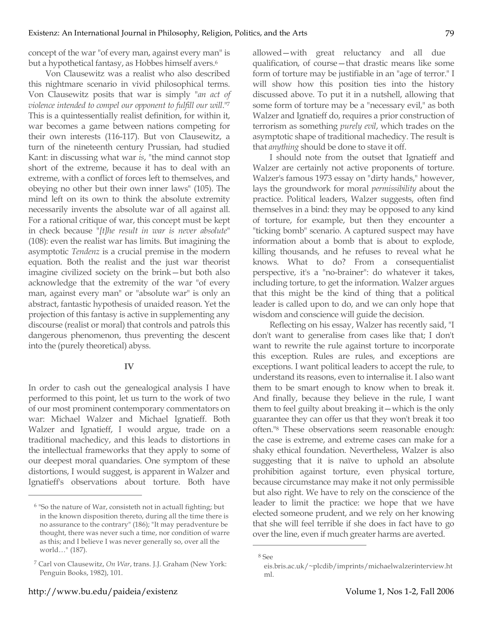concept of the war "of every man, against every man" is but a hypothetical fantasy, as Hobbes himself avers.<sup>6</sup>

Von Clausewitz was a realist who also described this nightmare scenario in vivid philosophical terms. Von Clausewitz posits that war is simply "*an act of violence intended to compel our opponent to fulfill our will*."7 This is a quintessentially realist definition, for within it, war becomes a game between nations competing for their own interests (116-117). But von Clausewitz, a turn of the nineteenth century Prussian, had studied Kant: in discussing what war *is*, "the mind cannot stop short of the extreme, because it has to deal with an extreme, with a conflict of forces left to themselves, and obeying no other but their own inner laws" (105). The mind left on its own to think the absolute extremity necessarily invents the absolute war of all against all. For a rational critique of war, this concept must be kept in check because "*[t]he result in war is never absolute*" (108): even the realist war has limits. But imagining the asymptotic *Tendenz* is a crucial premise in the modern equation. Both the realist and the just war theorist imagine civilized society on the brink—but both also acknowledge that the extremity of the war "of every man, against every man" or "absolute war" is only an abstract, fantastic hypothesis of unaided reason. Yet the projection of this fantasy is active in supplementing any discourse (realist or moral) that controls and patrols this dangerous phenomenon, thus preventing the descent into the (purely theoretical) abyss.

## **IV**

In order to cash out the genealogical analysis I have performed to this point, let us turn to the work of two of our most prominent contemporary commentators on war: Michael Walzer and Michael Ignatieff. Both Walzer and Ignatieff, I would argue, trade on a traditional machedicy, and this leads to distortions in the intellectual frameworks that they apply to some of our deepest moral quandaries. One symptom of these distortions, I would suggest, is apparent in Walzer and Ignatieff's observations about torture. Both have

allowed—with great reluctancy and all due qualification, of course—that drastic means like some form of torture may be justifiable in an "age of terror." I will show how this position ties into the history discussed above. To put it in a nutshell, allowing that some form of torture may be a "necessary evil," as both Walzer and Ignatieff do, requires a prior construction of terrorism as something *purely evil*, which trades on the asymptotic shape of traditional machedicy. The result is that *anything* should be done to stave it off.

I should note from the outset that Ignatieff and Walzer are certainly not active proponents of torture. Walzer's famous 1973 essay on "dirty hands," however, lays the groundwork for moral *permissibility* about the practice. Political leaders, Walzer suggests, often find themselves in a bind: they may be opposed to any kind of torture, for example, but then they encounter a "ticking bomb" scenario. A captured suspect may have information about a bomb that is about to explode, killing thousands, and he refuses to reveal what he knows. What to do? From a consequentialist perspective, it's a "no-brainer": do whatever it takes, including torture, to get the information. Walzer argues that this might be the kind of thing that a political leader is called upon to do, and we can only hope that wisdom and conscience will guide the decision.

Reflecting on his essay, Walzer has recently said, "I don't want to generalise from cases like that; I don't want to rewrite the rule against torture to incorporate this exception. Rules are rules, and exceptions are exceptions. I want political leaders to accept the rule, to understand its reasons, even to internalise it. I also want them to be smart enough to know when to break it. And finally, because they believe in the rule, I want them to feel guilty about breaking it—which is the only guarantee they can offer us that they won't break it too often."8 These observations seem reasonable enough: the case is extreme, and extreme cases can make for a shaky ethical foundation. Nevertheless, Walzer is also suggesting that it is naïve to uphold an absolute prohibition against torture, even physical torture, because circumstance may make it not only permissible but also right. We have to rely on the conscience of the leader to limit the practice: we hope that we have elected someone prudent, and we rely on her knowing that she will feel terrible if she does in fact have to go over the line, even if much greater harms are averted.

 $\overline{a}$ 

<sup>6</sup> "So the nature of War, consisteth not in actuall fighting; but in the known disposition thereto, during all the time there is no assurance to the contrary" (186); "It may peradventure be thought, there was never such a time, nor condition of warre as this; and I believe I was never generally so, over all the world…" (187).

<sup>7</sup> Carl von Clausewitz, *On War*, trans. J.J. Graham (New York: Penguin Books, 1982), 101.

<sup>8</sup> See

eis.bris.ac.uk/~plcdib/imprints/michaelwalzerinterview.ht ml.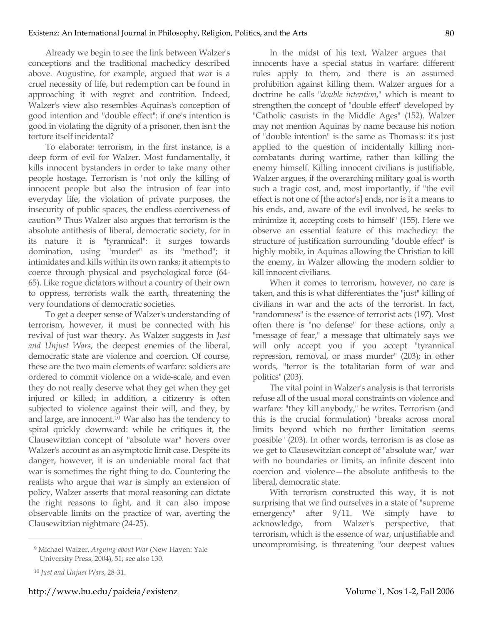Already we begin to see the link between Walzer's conceptions and the traditional machedicy described above. Augustine, for example, argued that war is a cruel necessity of life, but redemption can be found in approaching it with regret and contrition. Indeed, Walzer's view also resembles Aquinas's conception of good intention and "double effect": if one's intention is good in violating the dignity of a prisoner, then isn't the torture itself incidental?

To elaborate: terrorism, in the first instance, is a deep form of evil for Walzer. Most fundamentally, it kills innocent bystanders in order to take many other people hostage. Terrorism is "not only the killing of innocent people but also the intrusion of fear into everyday life, the violation of private purposes, the insecurity of public spaces, the endless coerciveness of caution"9 Thus Walzer also argues that terrorism is the absolute antithesis of liberal, democratic society, for in its nature it is "tyrannical": it surges towards domination, using "murder" as its "method"; it intimidates and kills within its own ranks; it attempts to coerce through physical and psychological force (64- 65). Like rogue dictators without a country of their own to oppress, terrorists walk the earth, threatening the very foundations of democratic societies.

To get a deeper sense of Walzer's understanding of terrorism, however, it must be connected with his revival of just war theory. As Walzer suggests in *Just and Unjust Wars*, the deepest enemies of the liberal, democratic state are violence and coercion. Of course, these are the two main elements of warfare: soldiers are ordered to commit violence on a wide-scale, and even they do not really deserve what they get when they get injured or killed; in addition, a citizenry is often subjected to violence against their will, and they, by and large, are innocent.10 War also has the tendency to spiral quickly downward: while he critiques it, the Clausewitzian concept of "absolute war" hovers over Walzer's account as an asymptotic limit case. Despite its danger, however, it is an undeniable moral fact that war is sometimes the right thing to do. Countering the realists who argue that war is simply an extension of policy, Walzer asserts that moral reasoning can dictate the right reasons to fight, and it can also impose observable limits on the practice of war, averting the Clausewitzian nightmare (24-25).

 $\overline{a}$ 

In the midst of his text, Walzer argues that innocents have a special status in warfare: different rules apply to them, and there is an assumed prohibition against killing them. Walzer argues for a doctrine he calls "*double intention*," which is meant to strengthen the concept of "double effect" developed by "Catholic casuists in the Middle Ages" (152). Walzer may not mention Aquinas by name because his notion of "double intention" is the same as Thomas's: it's just applied to the question of incidentally killing noncombatants during wartime, rather than killing the enemy himself. Killing innocent civilians is justifiable, Walzer argues, if the overarching military goal is worth such a tragic cost, and, most importantly, if "the evil effect is not one of [the actor's] ends, nor is it a means to his ends, and, aware of the evil involved, he seeks to minimize it, accepting costs to himself" (155). Here we observe an essential feature of this machedicy: the structure of justification surrounding "double effect" is highly mobile, in Aquinas allowing the Christian to kill the enemy, in Walzer allowing the modern soldier to kill innocent civilians.

When it comes to terrorism, however, no care is taken, and this is what differentiates the "just" killing of civilians in war and the acts of the terrorist. In fact, "randomness" is the essence of terrorist acts (197). Most often there is "no defense" for these actions, only a "message of fear," a message that ultimately says we will only accept you if you accept "tyrannical repression, removal, or mass murder" (203); in other words, "terror is the totalitarian form of war and politics" (203).

The vital point in Walzer's analysis is that terrorists refuse all of the usual moral constraints on violence and warfare: "they kill anybody," he writes. Terrorism (and this is the crucial formulation) "breaks across moral limits beyond which no further limitation seems possible" (203). In other words, terrorism is as close as we get to Clausewitzian concept of "absolute war," war with no boundaries or limits, an infinite descent into coercion and violence—the absolute antithesis to the liberal, democratic state.

With terrorism constructed this way, it is not surprising that we find ourselves in a state of "supreme emergency" after 9/11. We simply have to acknowledge, from Walzer's perspective, that terrorism, which is the essence of war, unjustifiable and uncompromising, is threatening "our deepest values

<sup>9</sup> Michael Walzer, *Arguing about War* (New Haven: Yale University Press, 2004), 51; see also 130.

<sup>10</sup> *Just and Unjust Wars*, 28-31.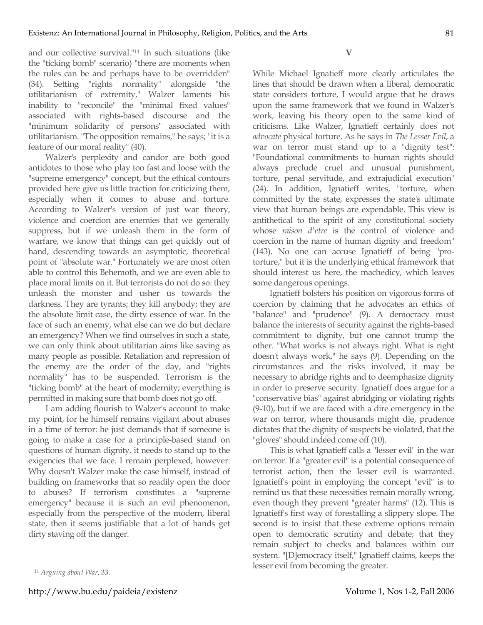and our collective survival."11 In such situations (like the "ticking bomb" scenario) "there are moments when the rules can be and perhaps have to be overridden" (34). Setting "rights normality" alongside "the utilitarianism of extremity," Walzer laments his inability to "reconcile" the "minimal fixed values" associated with rights-based discourse and the "minimum solidarity of persons" associated with utilitarianism. "The opposition remains," he says; "it is a feature of our moral reality" (40).

Walzer's perplexity and candor are both good antidotes to those who play too fast and loose with the "supreme emergency" concept, but the ethical contours provided here give us little traction for criticizing them, especially when it comes to abuse and torture. According to Walzer's version of just war theory, violence and coercion are enemies that we generally suppress, but if we unleash them in the form of warfare, we know that things can get quickly out of hand, descending towards an asymptotic, theoretical point of "absolute war." Fortunately we are most often able to control this Behemoth, and we are even able to place moral limits on it. But terrorists do not do so: they unleash the monster and usher us towards the darkness. They are tyrants; they kill anybody; they are the absolute limit case, the dirty essence of war. In the face of such an enemy, what else can we do but declare an emergency? When we find ourselves in such a state, we can only think about utilitarian aims like saving as many people as possible. Retaliation and repression of the enemy are the order of the day, and "rights normality" has to be suspended. Terrorism is the "ticking bomb" at the heart of modernity; everything is permitted in making sure that bomb does not go off.

I am adding flourish to Walzer's account to make my point, for he himself remains vigilant about abuses in a time of terror: he just demands that if someone is going to make a case for a principle-based stand on questions of human dignity, it needs to stand up to the exigencies that we face. I remain perplexed, however: Why doesn't Walzer make the case himself, instead of building on frameworks that so readily open the door to abuses? If terrorism constitutes a "supreme emergency" because it is such an evil phenomenon, especially from the perspective of the modern, liberal state, then it seems justifiable that a lot of hands get dirty staving off the danger.

**V**

While Michael Ignatieff more clearly articulates the lines that should be drawn when a liberal, democratic state considers torture, I would argue that he draws upon the same framework that we found in Walzer's work, leaving his theory open to the same kind of criticisms. Like Walzer, Ignatieff certainly does not *advocate* physical torture. As he says in *The Lesser Evil*, a war on terror must stand up to a "dignity test": "Foundational commitments to human rights should always preclude cruel and unusual punishment, torture, penal servitude, and extrajudicial execution" (24). In addition, Ignatieff writes, "torture, when committed by the state, expresses the state's ultimate view that human beings are expendable. This view is antithetical to the spirit of any constitutional society whose *raison d'etre* is the control of violence and coercion in the name of human dignity and freedom" (143). No one can accuse Ignatieff of being "protorture," but it is the underlying ethical framework that should interest us here, the machedicy, which leaves some dangerous openings.

Ignatieff bolsters his position on vigorous forms of coercion by claiming that he advocates an ethics of "balance" and "prudence" (9). A democracy must balance the interests of security against the rights-based commitment to dignity, but one cannot trump the other. "What works is not always right. What is right doesn't always work," he says (9). Depending on the circumstances and the risks involved, it may be necessary to abridge rights and to deemphasize dignity in order to preserve security. Ignatieff does argue for a "conservative bias" against abridging or violating rights (9-10), but if we are faced with a dire emergency in the war on terror, where thousands might die, prudence dictates that the dignity of suspects be violated, that the "gloves" should indeed come off (10).

This is what Ignatieff calls a "lesser evil" in the war on terror. If a "greater evil" is a potential consequence of terrorist action, then the lesser evil is warranted. Ignatieff's point in employing the concept "evil" is to remind us that these necessities remain morally wrong, even though they prevent "greater harms" (12). This is Ignatieff's first way of forestalling a slippery slope. The second is to insist that these extreme options remain open to democratic scrutiny and debate; that they remain subject to checks and balances within our system. "[D]emocracy itself," Ignatieff claims, keeps the lesser evil from becoming the greater.

<sup>11</sup> *Arguing about War*, 33.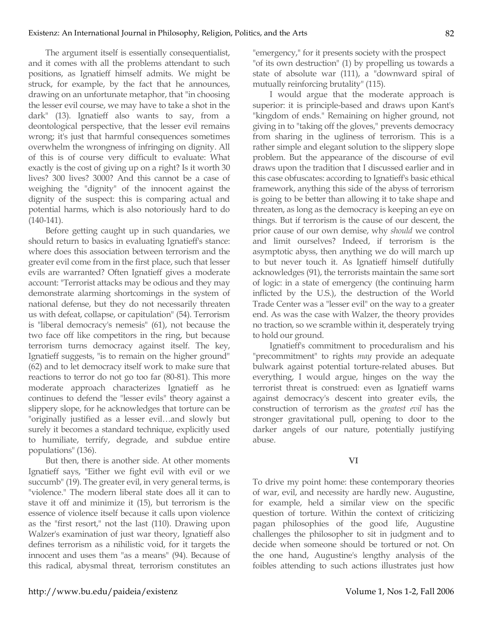The argument itself is essentially consequentialist, and it comes with all the problems attendant to such positions, as Ignatieff himself admits. We might be struck, for example, by the fact that he announces, drawing on an unfortunate metaphor, that "in choosing the lesser evil course, we may have to take a shot in the dark" (13). Ignatieff also wants to say, from a deontological perspective, that the lesser evil remains wrong; it's just that harmful consequences sometimes overwhelm the wrongness of infringing on dignity. All of this is of course very difficult to evaluate: What exactly is the cost of giving up on a right? Is it worth 30 lives? 300 lives? 3000? And this cannot be a case of weighing the "dignity" of the innocent against the dignity of the suspect: this is comparing actual and potential harms, which is also notoriously hard to do (140-141).

Before getting caught up in such quandaries, we should return to basics in evaluating Ignatieff's stance: where does this association between terrorism and the greater evil come from in the first place, such that lesser evils are warranted? Often Ignatieff gives a moderate account: "Terrorist attacks may be odious and they may demonstrate alarming shortcomings in the system of national defense, but they do not necessarily threaten us with defeat, collapse, or capitulation" (54). Terrorism is "liberal democracy's nemesis" (61), not because the two face off like competitors in the ring, but because terrorism turns democracy against itself. The key, Ignatieff suggests, "is to remain on the higher ground" (62) and to let democracy itself work to make sure that reactions to terror do not go too far (80-81). This more moderate approach characterizes Ignatieff as he continues to defend the "lesser evils" theory against a slippery slope, for he acknowledges that torture can be "originally justified as a lesser evil…and slowly but surely it becomes a standard technique, explicitly used to humiliate, terrify, degrade, and subdue entire populations" (136).

But then, there is another side. At other moments Ignatieff says, "Either we fight evil with evil or we succumb" (19). The greater evil, in very general terms, is "violence." The modern liberal state does all it can to stave it off and minimize it (15), but terrorism is the essence of violence itself because it calls upon violence as the "first resort," not the last (110). Drawing upon Walzer's examination of just war theory, Ignatieff also defines terrorism as a nihilistic void, for it targets the innocent and uses them "as a means" (94). Because of this radical, abysmal threat, terrorism constitutes an "emergency," for it presents society with the prospect "of its own destruction" (1) by propelling us towards a state of absolute war (111), a "downward spiral of mutually reinforcing brutality" (115).

I would argue that the moderate approach is superior: it is principle-based and draws upon Kant's "kingdom of ends." Remaining on higher ground, not giving in to "taking off the gloves," prevents democracy from sharing in the ugliness of terrorism. This is a rather simple and elegant solution to the slippery slope problem. But the appearance of the discourse of evil draws upon the tradition that I discussed earlier and in this case obfuscates: according to Ignatieff's basic ethical framework, anything this side of the abyss of terrorism is going to be better than allowing it to take shape and threaten, as long as the democracy is keeping an eye on things. But if terrorism is the cause of our descent, the prior cause of our own demise, why *should* we control and limit ourselves? Indeed, if terrorism is the asymptotic abyss, then anything we do will march up to but never touch it. As Ignatieff himself dutifully acknowledges (91), the terrorists maintain the same sort of logic: in a state of emergency (the continuing harm inflicted by the U.S.), the destruction of the World Trade Center was a "lesser evil" on the way to a greater end. As was the case with Walzer, the theory provides no traction, so we scramble within it, desperately trying to hold our ground.

Ignatieff's commitment to proceduralism and his "precommitment" to rights *may* provide an adequate bulwark against potential torture-related abuses. But everything, I would argue, hinges on the way the terrorist threat is construed: even as Ignatieff warns against democracy's descent into greater evils, the construction of terrorism as the *greatest evil* has the stronger gravitational pull, opening to door to the darker angels of our nature, potentially justifying abuse.

## **VI**

To drive my point home: these contemporary theories of war, evil, and necessity are hardly new. Augustine, for example, held a similar view on the specific question of torture. Within the context of criticizing pagan philosophies of the good life, Augustine challenges the philosopher to sit in judgment and to decide when someone should be tortured or not. On the one hand, Augustine's lengthy analysis of the foibles attending to such actions illustrates just how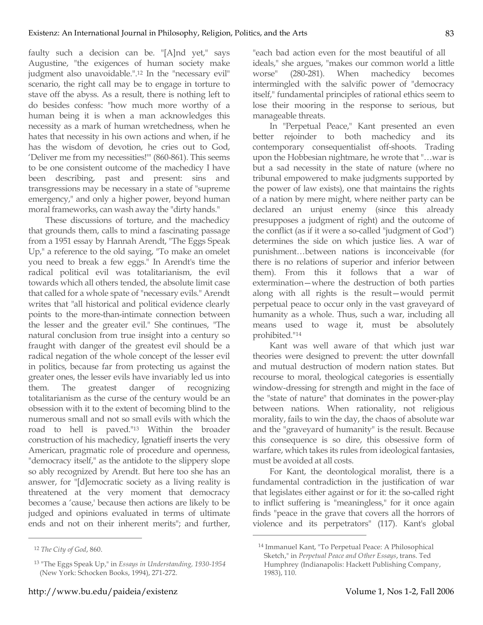faulty such a decision can be. "[A]nd yet," says Augustine, "the exigences of human society make judgment also unavoidable.".12 In the "necessary evil" scenario, the right call may be to engage in torture to stave off the abyss. As a result, there is nothing left to do besides confess: "how much more worthy of a human being it is when a man acknowledges this necessity as a mark of human wretchedness, when he hates that necessity in his own actions and when, if he has the wisdom of devotion, he cries out to God, 'Deliver me from my necessities!'" (860-861). This seems to be one consistent outcome of the machedicy I have been describing, past and present: sins and transgressions may be necessary in a state of "supreme emergency," and only a higher power, beyond human moral frameworks, can wash away the "dirty hands."

These discussions of torture, and the machedicy that grounds them, calls to mind a fascinating passage from a 1951 essay by Hannah Arendt, "The Eggs Speak Up," a reference to the old saying, "To make an omelet you need to break a few eggs." In Arendt's time the radical political evil was totalitarianism, the evil towards which all others tended, the absolute limit case that called for a whole spate of "necessary evils." Arendt writes that "all historical and political evidence clearly points to the more-than-intimate connection between the lesser and the greater evil." She continues, "The natural conclusion from true insight into a century so fraught with danger of the greatest evil should be a radical negation of the whole concept of the lesser evil in politics, because far from protecting us against the greater ones, the lesser evils have invariably led us into them. The greatest danger of recognizing totalitarianism as the curse of the century would be an obsession with it to the extent of becoming blind to the numerous small and not so small evils with which the road to hell is paved."13 Within the broader construction of his machedicy, Ignatieff inserts the very American, pragmatic role of procedure and openness, "democracy itself," as the antidote to the slippery slope so ably recognized by Arendt. But here too she has an answer, for "[d]emocratic society as a living reality is threatened at the very moment that democracy becomes a 'cause,' because then actions are likely to be judged and opinions evaluated in terms of ultimate ends and not on their inherent merits"; and further,

 $\overline{a}$ 

"each bad action even for the most beautiful of all ideals," she argues, "makes our common world a little worse" (280-281). When machedicy becomes intermingled with the salvific power of "democracy itself," fundamental principles of rational ethics seem to lose their mooring in the response to serious, but manageable threats.

In "Perpetual Peace," Kant presented an even better rejoinder to both machedicy and its contemporary consequentialist off-shoots. Trading upon the Hobbesian nightmare, he wrote that "…war is but a sad necessity in the state of nature (where no tribunal empowered to make judgments supported by the power of law exists), one that maintains the rights of a nation by mere might, where neither party can be declared an unjust enemy (since this already presupposes a judgment of right) and the outcome of the conflict (as if it were a so-called "judgment of God") determines the side on which justice lies. A war of punishment…between nations is inconceivable (for there is no relations of superior and inferior between them). From this it follows that a war of extermination—where the destruction of both parties along with all rights is the result—would permit perpetual peace to occur only in the vast graveyard of humanity as a whole. Thus, such a war, including all means used to wage it, must be absolutely prohibited."14

Kant was well aware of that which just war theories were designed to prevent: the utter downfall and mutual destruction of modern nation states. But recourse to moral, theological categories is essentially window-dressing for strength and might in the face of the "state of nature" that dominates in the power-play between nations. When rationality, not religious morality, fails to win the day, the chaos of absolute war and the "graveyard of humanity" is the result. Because this consequence is so dire, this obsessive form of warfare, which takes its rules from ideological fantasies, must be avoided at all costs.

For Kant, the deontological moralist, there is a fundamental contradiction in the justification of war that legislates either against or for it: the so-called right to inflict suffering is "meaningless," for it once again finds "peace in the grave that covers all the horrors of violence and its perpetrators" (117). Kant's global

<sup>12</sup> *The City of God*, 860.

<sup>13</sup> "The Eggs Speak Up," in *Essays in Understanding, 1930-1954* (New York: Schocken Books, 1994), 271-272.

<sup>14</sup> Immanuel Kant, "To Perpetual Peace: A Philosophical Sketch," in *Perpetual Peace and Other Essays*, trans. Ted Humphrey (Indianapolis: Hackett Publishing Company, 1983), 110.